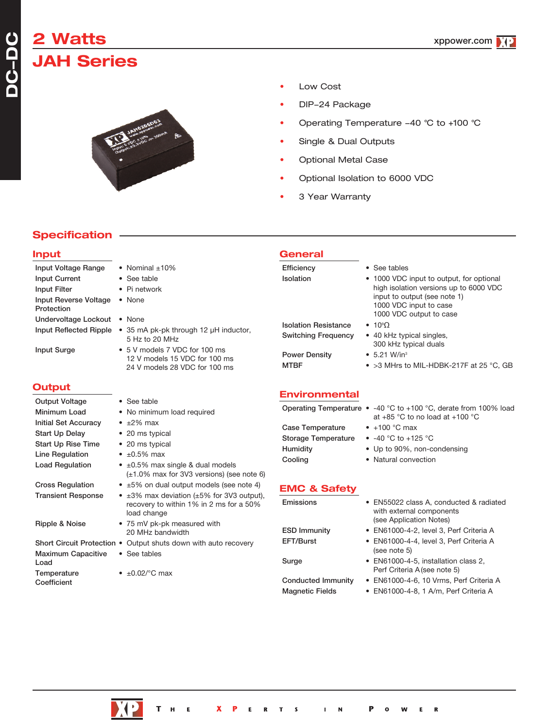# **2 Watts JAH Series**

**DC** $\overline{\phantom{a}}$ **DC**



- Low Cost
- DIP-24 Package
- Operating Temperature 40 °C to +100 °C
- Single & Dual Outputs
- Optional Metal Case
- Optional Isolation to 6000 VDC
- 3 Year Warranty

## **Specification**

#### **Input** Input Voltage Range • Nominal ±10% Input Current • See table Input Filter • Pi network Input Reverse Voltage • None Protection Undervoltage Lockout • None Input Reflected Ripple • 35 mA pk-pk through 12 µH inductor, 5 Hz to 20 MHz Input Surge • 5 V models 7 VDC for 100 ms 12 V models 15 VDC for 100 ms 24 V models 28 VDC for 100 ms **Output** Output Voltage • See table Minimum Load • No minimum load required Initial Set Accuracy • ±2% max Start Up Delay • 20 ms typical Start Up Rise Time • 20 ms typical Line Regulation  $\bullet$  ±0.5% max Load Regulation  $\bullet$   $\pm 0.5\%$  max single & dual models (±1.0% max for 3V3 versions) (see note 6) Cross Regulation  $\bullet$   $\pm 5\%$  on dual output models (see note 4) **Transient Response**  $\bullet$   $\pm 3\%$  max deviation ( $\pm 5\%$  for 3V3 output), recovery to within 1% in 2 ms for a 50% load change Ripple & Noise • 75 mV pk-pk measured with 20 MHz bandwidth Short Circuit Protection . Output shuts down with auto recovery Maximum Capacitive • See tables Load Temperature  $\bullet$   $\pm 0.02$ /°C max **Coefficient General** Efficiency • See tables Isolation • 1000 VDC input to output, for optional high isolation versions up to 6000 VDC input to output (see note 1) 1000 VDC input to case 1000 VDC output to case **Isolation Resistance**  $• 10^9$ Switching Frequency • 40 kHz typical singles, 300 kHz typical duals Power Density • 5.21 W/in<sup>3</sup> MTBF • >3 MHrs to MIL-HDBK-217F at 25 °C, GB **Environmental** Operating Temperature • -40 °C to +100 °C, derate from 100% load at +85 °C to no load at +100 °C Case Temperature • +100 °C max Storage Temperature • -40 °C to +125 °C Humidity • Up to 90%, non-condensing Cooling • Natural convection **EMC & Safety** Emissions • EN55022 class A, conducted & radiated with external components (see Application Notes) ESD Immunity • EN61000-4-2, level 3, Perf Criteria A EFT/Burst • EN61000-4-4, level 3, Perf Criteria A (see note 5) Surge • EN61000-4-5, installation class 2, Perf Criteria A(see note 5) Conducted Immunity • EN61000-4-6, 10 Vrms, Perf Criteria A Magnetic Fields • EN61000-4-8, 1 A/m, Perf Criteria A



 $\mathbf R$